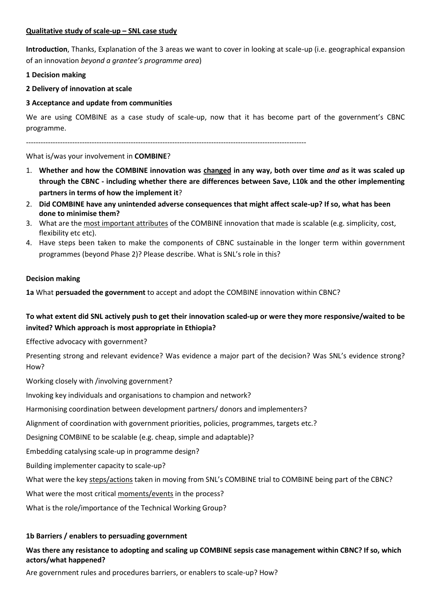### **Qualitative study of scale-up – SNL case study**

**Introduction**, Thanks, Explanation of the 3 areas we want to cover in looking at scale-up (i.e. geographical expansion of an innovation *beyond a grantee's programme area*)

### **1 Decision making**

## **2 Delivery of innovation at scale**

## **3 Acceptance and update from communities**

We are using COMBINE as a case study of scale-up, now that it has become part of the government's CBNC programme.

-------------------------------------------------------------------------------------------------------------------

### What is/was your involvement in **COMBINE**?

- 1. **Whether and how the COMBINE innovation was changed in any way, both over time** *and* **as it was scaled up through the CBNC - including whether there are differences between Save, L10k and the other implementing partners in terms of how the implement it**?
- 2. **Did COMBINE have any unintended adverse consequences that might affect scale-up? If so, what has been done to minimise them?**
- 3. What are the most important attributes of the COMBINE innovation that made is scalable (e.g. simplicity, cost, flexibility etc etc).
- 4. Have steps been taken to make the components of CBNC sustainable in the longer term within government programmes (beyond Phase 2)? Please describe. What is SNL's role in this?

#### **Decision making**

**1a** What **persuaded the government** to accept and adopt the COMBINE innovation within CBNC?

# **To what extent did SNL actively push to get their innovation scaled-up or were they more responsive/waited to be invited? Which approach is most appropriate in Ethiopia?**

Effective advocacy with government?

Presenting strong and relevant evidence? Was evidence a major part of the decision? Was SNL's evidence strong? How?

Working closely with /involving government?

Invoking key individuals and organisations to champion and network?

Harmonising coordination between development partners/ donors and implementers?

Alignment of coordination with government priorities, policies, programmes, targets etc.?

Designing COMBINE to be scalable (e.g. cheap, simple and adaptable)?

Embedding catalysing scale-up in programme design?

Building implementer capacity to scale-up?

What were the key steps/actions taken in moving from SNL's COMBINE trial to COMBINE being part of the CBNC?

What were the most critical moments/events in the process?

What is the role/importance of the Technical Working Group?

## **1b Barriers / enablers to persuading government**

# **Was there any resistance to adopting and scaling up COMBINE sepsis case management within CBNC? If so, which actors/what happened?**

Are government rules and procedures barriers, or enablers to scale-up? How?